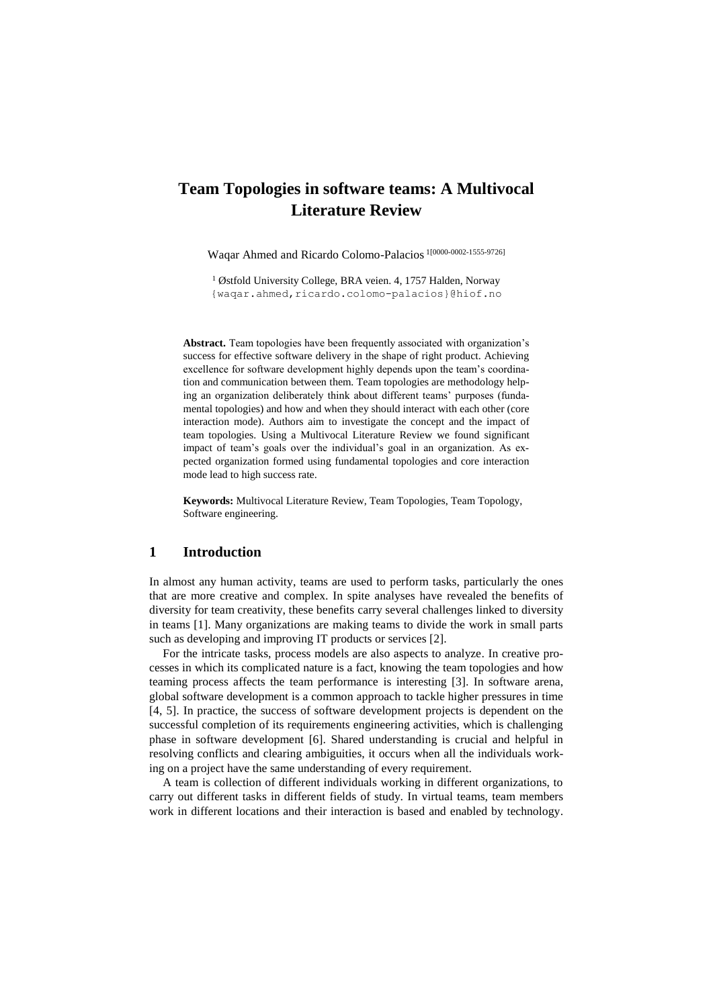# **Team Topologies in software teams: A Multivocal Literature Review**

Waqar Ahmed and Ricardo Colomo-Palacios 1[0000-0002-1555-9726]

<sup>1</sup> Østfold University College, BRA veien. 4, 1757 Halden, Norway {waqar.ahmed,ricardo.colomo-palacios}@hiof.no

Abstract. Team topologies have been frequently associated with organization's success for effective software delivery in the shape of right product. Achieving excellence for software development highly depends upon the team's coordination and communication between them. Team topologies are methodology helping an organization deliberately think about different teams' purposes (fundamental topologies) and how and when they should interact with each other (core interaction mode). Authors aim to investigate the concept and the impact of team topologies. Using a Multivocal Literature Review we found significant impact of team's goals over the individual's goal in an organization. As expected organization formed using fundamental topologies and core interaction mode lead to high success rate.

**Keywords:** Multivocal Literature Review, Team Topologies, Team Topology, Software engineering.

# **1 Introduction**

In almost any human activity, teams are used to perform tasks, particularly the ones that are more creative and complex. In spite analyses have revealed the benefits of diversity for team creativity, these benefits carry several challenges linked to diversity in teams [1]. Many organizations are making teams to divide the work in small parts such as developing and improving IT products or services [2].

For the intricate tasks, process models are also aspects to analyze. In creative processes in which its complicated nature is a fact, knowing the team topologies and how teaming process affects the team performance is interesting [3]. In software arena, global software development is a common approach to tackle higher pressures in time [4, 5]. In practice, the success of software development projects is dependent on the successful completion of its requirements engineering activities, which is challenging phase in software development [6]. Shared understanding is crucial and helpful in resolving conflicts and clearing ambiguities, it occurs when all the individuals working on a project have the same understanding of every requirement.

A team is collection of different individuals working in different organizations, to carry out different tasks in different fields of study. In virtual teams, team members work in different locations and their interaction is based and enabled by technology.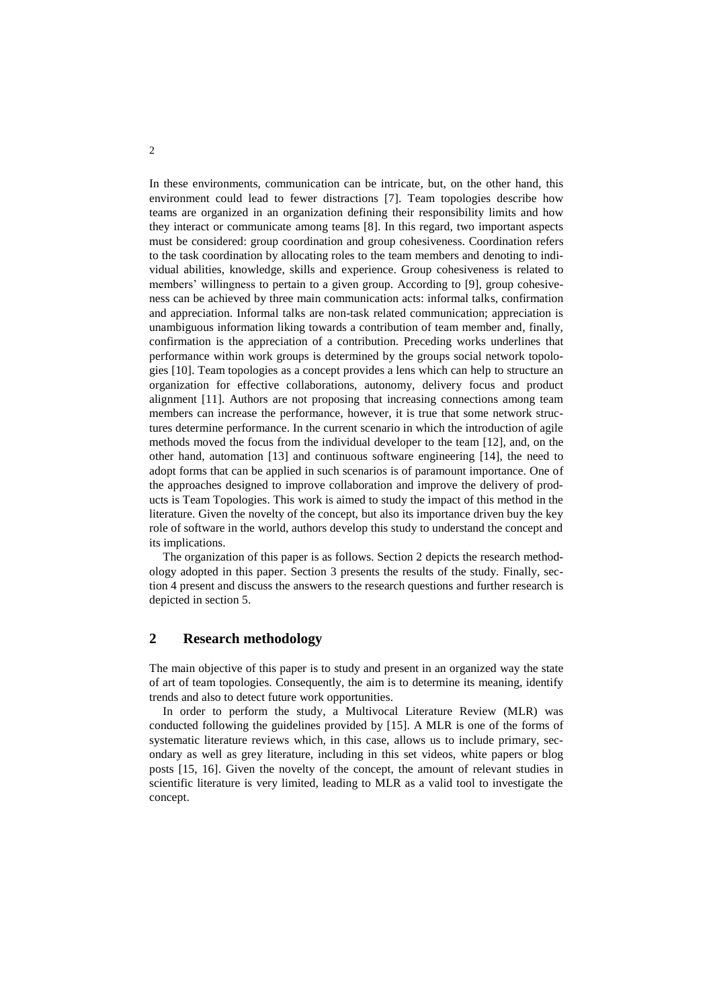In these environments, communication can be intricate, but, on the other hand, this environment could lead to fewer distractions [7]. Team topologies describe how teams are organized in an organization defining their responsibility limits and how they interact or communicate among teams [8]. In this regard, two important aspects must be considered: group coordination and group cohesiveness. Coordination refers to the task coordination by allocating roles to the team members and denoting to individual abilities, knowledge, skills and experience. Group cohesiveness is related to members' willingness to pertain to a given group. According to [9], group cohesiveness can be achieved by three main communication acts: informal talks, confirmation and appreciation. Informal talks are non-task related communication; appreciation is unambiguous information liking towards a contribution of team member and, finally, confirmation is the appreciation of a contribution. Preceding works underlines that performance within work groups is determined by the groups social network topologies [10]. Team topologies as a concept provides a lens which can help to structure an organization for effective collaborations, autonomy, delivery focus and product alignment [11]. Authors are not proposing that increasing connections among team members can increase the performance, however, it is true that some network structures determine performance. In the current scenario in which the introduction of agile methods moved the focus from the individual developer to the team [12], and, on the other hand, automation [13] and continuous software engineering [14], the need to adopt forms that can be applied in such scenarios is of paramount importance. One of the approaches designed to improve collaboration and improve the delivery of products is Team Topologies. This work is aimed to study the impact of this method in the literature. Given the novelty of the concept, but also its importance driven buy the key role of software in the world, authors develop this study to understand the concept and its implications.

The organization of this paper is as follows. Section 2 depicts the research methodology adopted in this paper. Section 3 presents the results of the study. Finally, section 4 present and discuss the answers to the research questions and further research is depicted in section 5.

# **2 Research methodology**

The main objective of this paper is to study and present in an organized way the state of art of team topologies. Consequently, the aim is to determine its meaning, identify trends and also to detect future work opportunities.

In order to perform the study, a Multivocal Literature Review (MLR) was conducted following the guidelines provided by [15]. A MLR is one of the forms of systematic literature reviews which, in this case, allows us to include primary, secondary as well as grey literature, including in this set videos, white papers or blog posts [15, 16]. Given the novelty of the concept, the amount of relevant studies in scientific literature is very limited, leading to MLR as a valid tool to investigate the concept.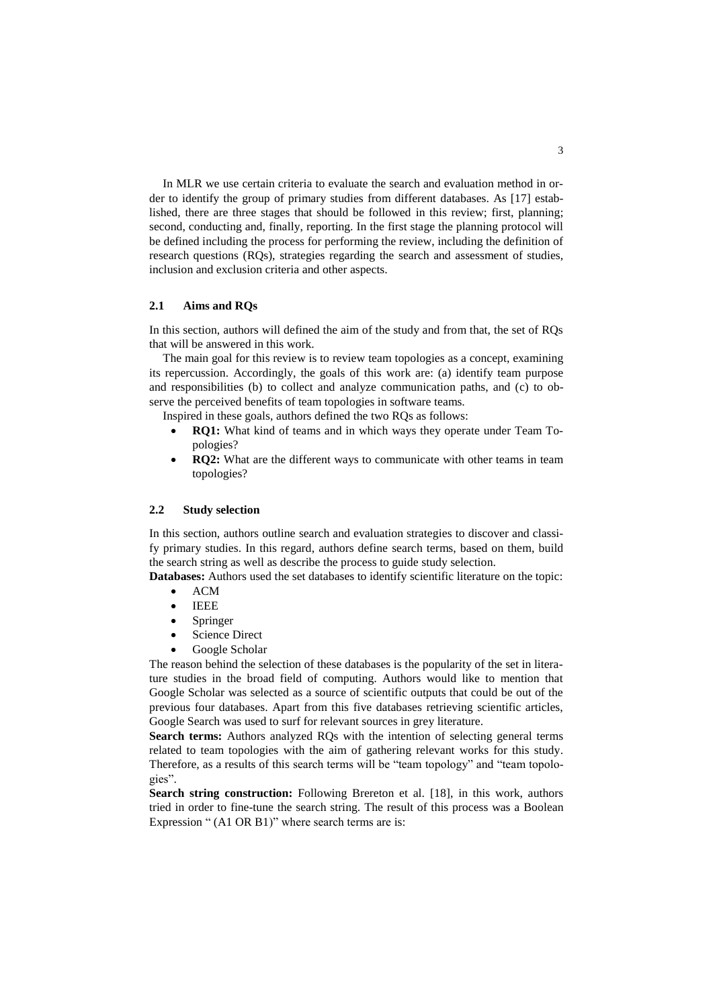In MLR we use certain criteria to evaluate the search and evaluation method in order to identify the group of primary studies from different databases. As [17] established, there are three stages that should be followed in this review; first, planning; second, conducting and, finally, reporting. In the first stage the planning protocol will be defined including the process for performing the review, including the definition of research questions (RQs), strategies regarding the search and assessment of studies, inclusion and exclusion criteria and other aspects.

### **2.1 Aims and RQs**

In this section, authors will defined the aim of the study and from that, the set of RQs that will be answered in this work.

The main goal for this review is to review team topologies as a concept, examining its repercussion. Accordingly, the goals of this work are: (a) identify team purpose and responsibilities (b) to collect and analyze communication paths, and (c) to observe the perceived benefits of team topologies in software teams.

Inspired in these goals, authors defined the two RQs as follows:

- **RQ1:** What kind of teams and in which ways they operate under Team Topologies?
- **RQ2:** What are the different ways to communicate with other teams in team topologies?

#### **2.2 Study selection**

In this section, authors outline search and evaluation strategies to discover and classify primary studies. In this regard, authors define search terms, based on them, build the search string as well as describe the process to guide study selection.

**Databases:** Authors used the set databases to identify scientific literature on the topic:

- ACM
- IEEE
- Springer
- Science Direct
- Google Scholar

The reason behind the selection of these databases is the popularity of the set in literature studies in the broad field of computing. Authors would like to mention that Google Scholar was selected as a source of scientific outputs that could be out of the previous four databases. Apart from this five databases retrieving scientific articles, Google Search was used to surf for relevant sources in grey literature.

**Search terms:** Authors analyzed RQs with the intention of selecting general terms related to team topologies with the aim of gathering relevant works for this study. Therefore, as a results of this search terms will be "team topology" and "team topologies".

**Search string construction:** Following Brereton et al. [18], in this work, authors tried in order to fine-tune the search string. The result of this process was a Boolean Expression " (A1 OR B1)" where search terms are is: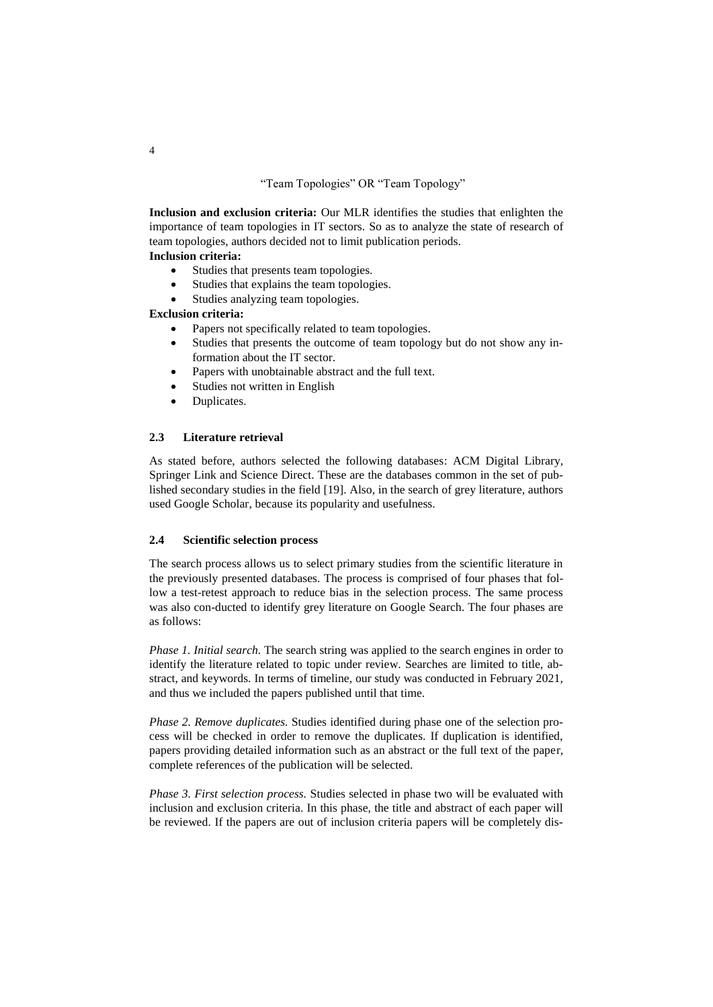#### "Team Topologies" OR "Team Topology"

**Inclusion and exclusion criteria:** Our MLR identifies the studies that enlighten the importance of team topologies in IT sectors. So as to analyze the state of research of team topologies, authors decided not to limit publication periods.

# **Inclusion criteria:**

- Studies that presents team topologies.
- Studies that explains the team topologies.
- Studies analyzing team topologies.

#### **Exclusion criteria:**

- Papers not specifically related to team topologies.
- Studies that presents the outcome of team topology but do not show any information about the IT sector.
- Papers with unobtainable abstract and the full text.
- Studies not written in English
- Duplicates.

### **2.3 Literature retrieval**

As stated before, authors selected the following databases: ACM Digital Library, Springer Link and Science Direct. These are the databases common in the set of published secondary studies in the field [19]. Also, in the search of grey literature, authors used Google Scholar, because its popularity and usefulness.

#### **2.4 Scientific selection process**

The search process allows us to select primary studies from the scientific literature in the previously presented databases. The process is comprised of four phases that follow a test-retest approach to reduce bias in the selection process. The same process was also con-ducted to identify grey literature on Google Search. The four phases are as follows:

*Phase 1. Initial search.* The search string was applied to the search engines in order to identify the literature related to topic under review. Searches are limited to title, abstract, and keywords. In terms of timeline, our study was conducted in February 2021, and thus we included the papers published until that time.

*Phase 2. Remove duplicates.* Studies identified during phase one of the selection process will be checked in order to remove the duplicates. If duplication is identified, papers providing detailed information such as an abstract or the full text of the paper, complete references of the publication will be selected.

*Phase 3. First selection process.* Studies selected in phase two will be evaluated with inclusion and exclusion criteria. In this phase, the title and abstract of each paper will be reviewed. If the papers are out of inclusion criteria papers will be completely dis-

### 4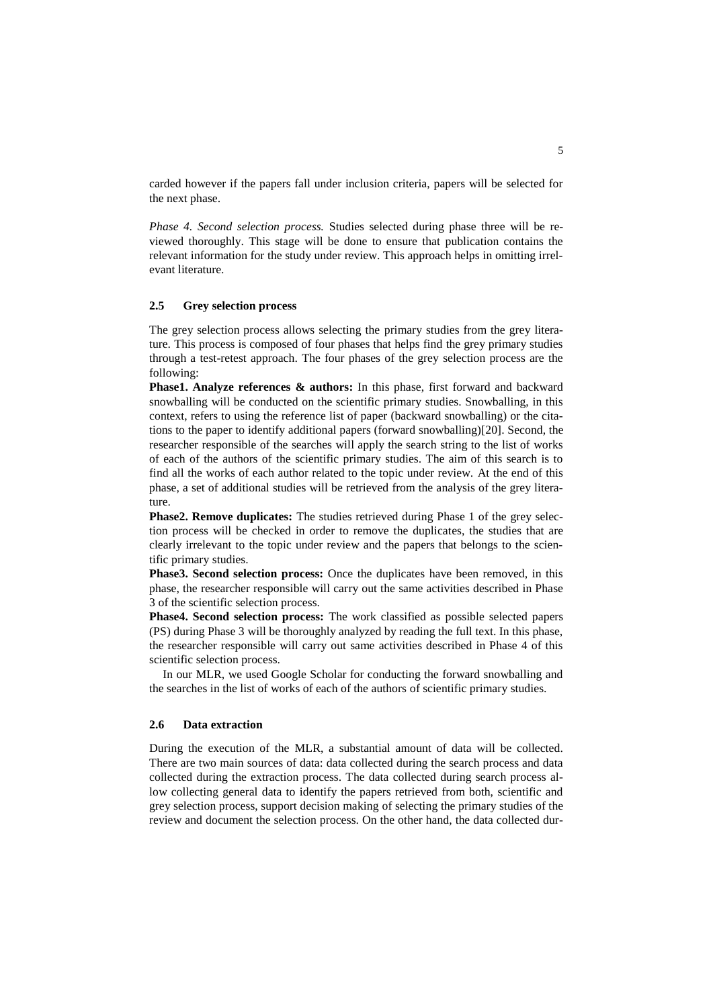carded however if the papers fall under inclusion criteria, papers will be selected for the next phase.

*Phase 4. Second selection process.* Studies selected during phase three will be reviewed thoroughly. This stage will be done to ensure that publication contains the relevant information for the study under review. This approach helps in omitting irrelevant literature.

### **2.5 Grey selection process**

The grey selection process allows selecting the primary studies from the grey literature. This process is composed of four phases that helps find the grey primary studies through a test-retest approach. The four phases of the grey selection process are the following:

**Phase1. Analyze references & authors:** In this phase, first forward and backward snowballing will be conducted on the scientific primary studies. Snowballing, in this context, refers to using the reference list of paper (backward snowballing) or the citations to the paper to identify additional papers (forward snowballing)[20]. Second, the researcher responsible of the searches will apply the search string to the list of works of each of the authors of the scientific primary studies. The aim of this search is to find all the works of each author related to the topic under review. At the end of this phase, a set of additional studies will be retrieved from the analysis of the grey literature.

**Phase2. Remove duplicates:** The studies retrieved during Phase 1 of the grey selection process will be checked in order to remove the duplicates, the studies that are clearly irrelevant to the topic under review and the papers that belongs to the scientific primary studies.

**Phase3. Second selection process:** Once the duplicates have been removed, in this phase, the researcher responsible will carry out the same activities described in Phase 3 of the scientific selection process.

**Phase4. Second selection process:** The work classified as possible selected papers (PS) during Phase 3 will be thoroughly analyzed by reading the full text. In this phase, the researcher responsible will carry out same activities described in Phase 4 of this scientific selection process.

In our MLR, we used Google Scholar for conducting the forward snowballing and the searches in the list of works of each of the authors of scientific primary studies.

#### **2.6 Data extraction**

During the execution of the MLR, a substantial amount of data will be collected. There are two main sources of data: data collected during the search process and data collected during the extraction process. The data collected during search process allow collecting general data to identify the papers retrieved from both, scientific and grey selection process, support decision making of selecting the primary studies of the review and document the selection process. On the other hand, the data collected dur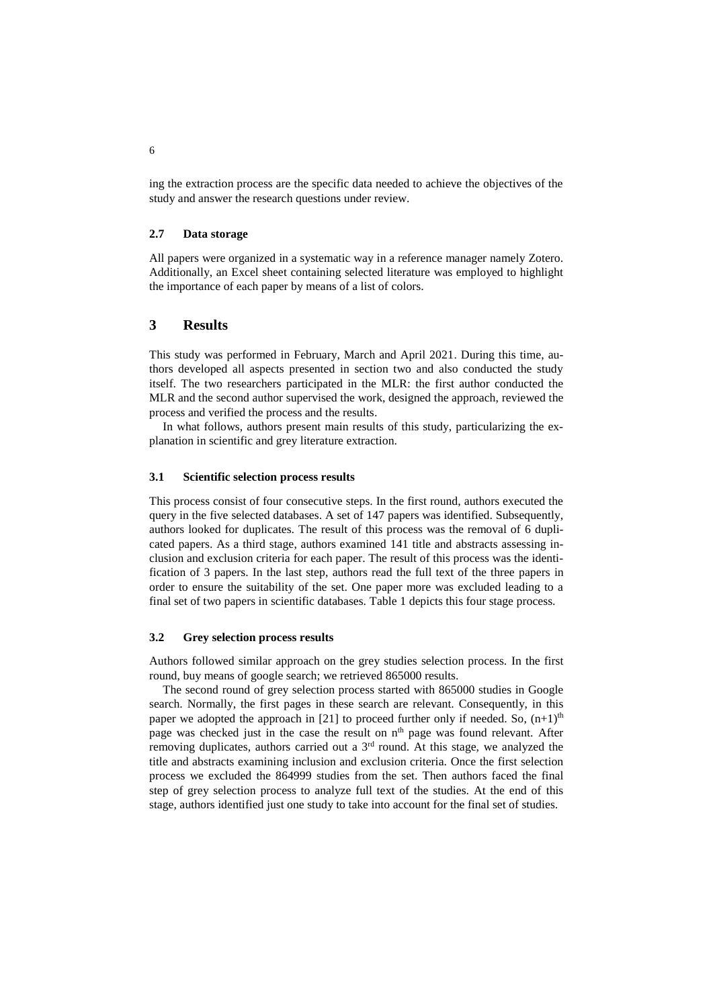ing the extraction process are the specific data needed to achieve the objectives of the study and answer the research questions under review.

#### **2.7 Data storage**

All papers were organized in a systematic way in a reference manager namely Zotero. Additionally, an Excel sheet containing selected literature was employed to highlight the importance of each paper by means of a list of colors.

# **3 Results**

This study was performed in February, March and April 2021. During this time, authors developed all aspects presented in section two and also conducted the study itself. The two researchers participated in the MLR: the first author conducted the MLR and the second author supervised the work, designed the approach, reviewed the process and verified the process and the results.

In what follows, authors present main results of this study, particularizing the explanation in scientific and grey literature extraction.

#### **3.1 Scientific selection process results**

This process consist of four consecutive steps. In the first round, authors executed the query in the five selected databases. A set of 147 papers was identified. Subsequently, authors looked for duplicates. The result of this process was the removal of 6 duplicated papers. As a third stage, authors examined 141 title and abstracts assessing inclusion and exclusion criteria for each paper. The result of this process was the identification of 3 papers. In the last step, authors read the full text of the three papers in order to ensure the suitability of the set. One paper more was excluded leading to a final set of two papers in scientific databases. Table 1 depicts this four stage process.

#### **3.2 Grey selection process results**

Authors followed similar approach on the grey studies selection process. In the first round, buy means of google search; we retrieved 865000 results.

The second round of grey selection process started with 865000 studies in Google search. Normally, the first pages in these search are relevant. Consequently, in this paper we adopted the approach in [21] to proceed further only if needed. So,  $(n+1)$ <sup>th</sup> page was checked just in the case the result on n<sup>th</sup> page was found relevant. After removing duplicates, authors carried out a 3rd round. At this stage, we analyzed the title and abstracts examining inclusion and exclusion criteria. Once the first selection process we excluded the 864999 studies from the set. Then authors faced the final step of grey selection process to analyze full text of the studies. At the end of this stage, authors identified just one study to take into account for the final set of studies.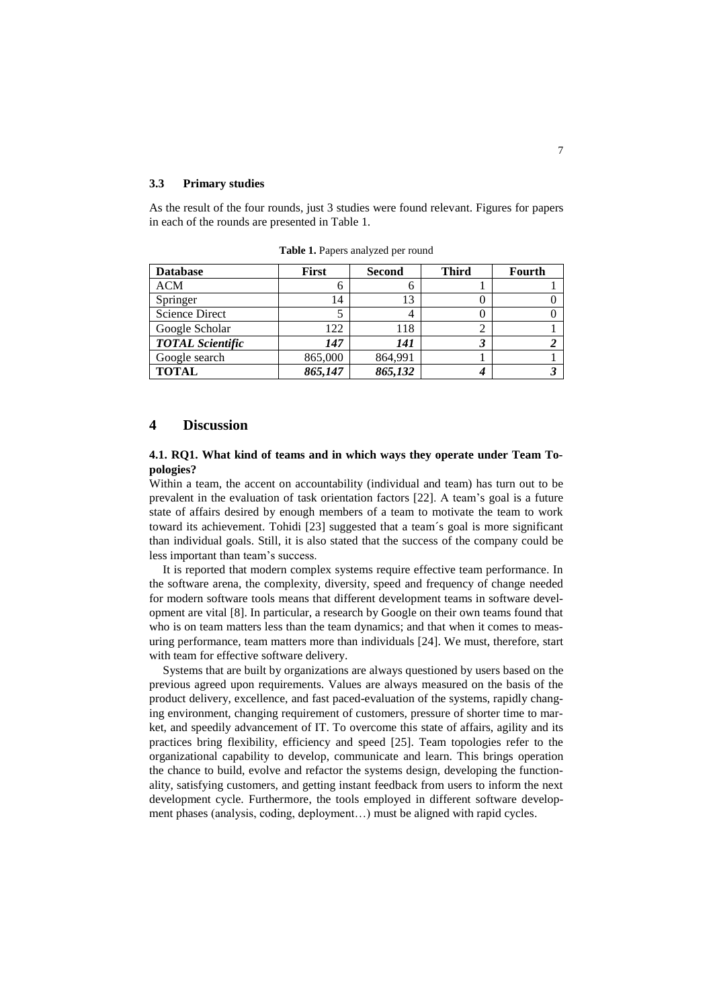#### **3.3 Primary studies**

As the result of the four rounds, just 3 studies were found relevant. Figures for papers in each of the rounds are presented in Table 1.

| <b>Database</b>         | <b>First</b> | <b>Second</b> | <b>Third</b> | Fourth |
|-------------------------|--------------|---------------|--------------|--------|
| <b>ACM</b>              |              |               |              |        |
| Springer                | 14           |               |              |        |
| <b>Science Direct</b>   |              | 4             |              |        |
| Google Scholar          | 122          | 118           |              |        |
| <b>TOTAL Scientific</b> | 147          | 141           | -            |        |
| Google search           | 865,000      | 864,991       |              |        |
| <b>TOTAL</b>            | 865,147      | 865,132       |              |        |

**Table 1.** Papers analyzed per round

# **4 Discussion**

### **4.1. RQ1. What kind of teams and in which ways they operate under Team Topologies?**

Within a team, the accent on accountability (individual and team) has turn out to be prevalent in the evaluation of task orientation factors [22]. A team's goal is a future state of affairs desired by enough members of a team to motivate the team to work toward its achievement. Tohidi [23] suggested that a team´s goal is more significant than individual goals. Still, it is also stated that the success of the company could be less important than team's success.

It is reported that modern complex systems require effective team performance. In the software arena, the complexity, diversity, speed and frequency of change needed for modern software tools means that different development teams in software development are vital [8]. In particular, a research by Google on their own teams found that who is on team matters less than the team dynamics; and that when it comes to measuring performance, team matters more than individuals [24]. We must, therefore, start with team for effective software delivery.

Systems that are built by organizations are always questioned by users based on the previous agreed upon requirements. Values are always measured on the basis of the product delivery, excellence, and fast paced-evaluation of the systems, rapidly changing environment, changing requirement of customers, pressure of shorter time to market, and speedily advancement of IT. To overcome this state of affairs, agility and its practices bring flexibility, efficiency and speed [25]. Team topologies refer to the organizational capability to develop, communicate and learn. This brings operation the chance to build, evolve and refactor the systems design, developing the functionality, satisfying customers, and getting instant feedback from users to inform the next development cycle. Furthermore, the tools employed in different software development phases (analysis, coding, deployment…) must be aligned with rapid cycles.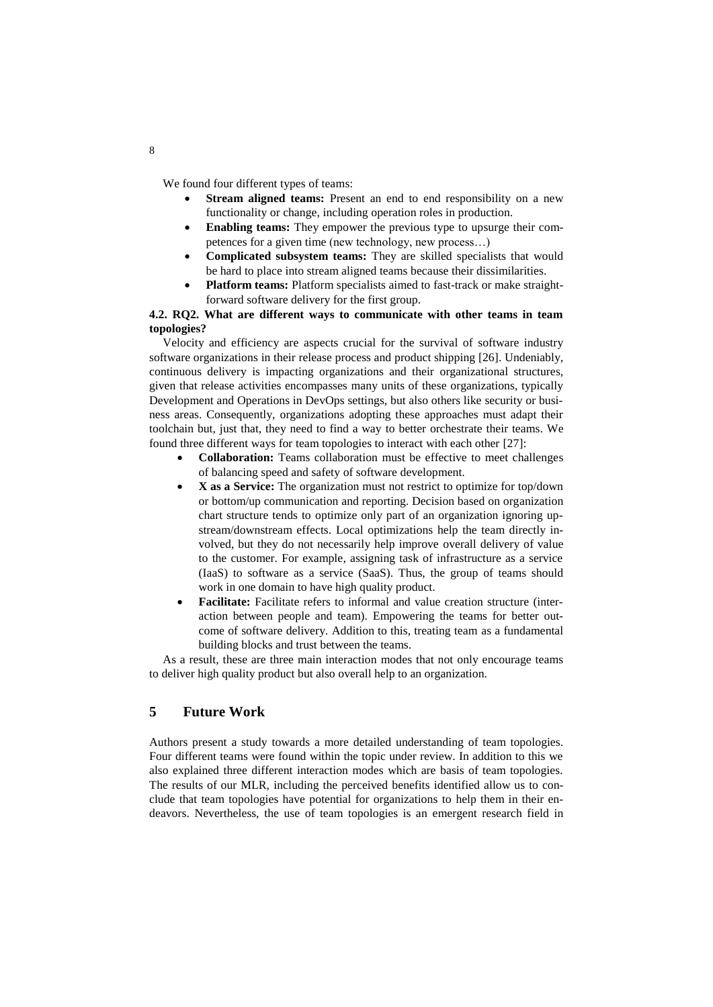We found four different types of teams:

- **Stream aligned teams:** Present an end to end responsibility on a new functionality or change, including operation roles in production.
- **Enabling teams:** They empower the previous type to upsurge their competences for a given time (new technology, new process…)
- **Complicated subsystem teams:** They are skilled specialists that would be hard to place into stream aligned teams because their dissimilarities.
- **Platform teams:** Platform specialists aimed to fast-track or make straightforward software delivery for the first group.

### **4.2. RQ2. What are different ways to communicate with other teams in team topologies?**

Velocity and efficiency are aspects crucial for the survival of software industry software organizations in their release process and product shipping [26]. Undeniably, continuous delivery is impacting organizations and their organizational structures, given that release activities encompasses many units of these organizations, typically Development and Operations in DevOps settings, but also others like security or business areas. Consequently, organizations adopting these approaches must adapt their toolchain but, just that, they need to find a way to better orchestrate their teams. We found three different ways for team topologies to interact with each other [27]:

- **Collaboration:** Teams collaboration must be effective to meet challenges of balancing speed and safety of software development.
- **X as a Service:** The organization must not restrict to optimize for top/down or bottom/up communication and reporting. Decision based on organization chart structure tends to optimize only part of an organization ignoring upstream/downstream effects. Local optimizations help the team directly involved, but they do not necessarily help improve overall delivery of value to the customer. For example, assigning task of infrastructure as a service (IaaS) to software as a service (SaaS). Thus, the group of teams should work in one domain to have high quality product.
- **Facilitate:** Facilitate refers to informal and value creation structure (interaction between people and team). Empowering the teams for better outcome of software delivery. Addition to this, treating team as a fundamental building blocks and trust between the teams.

As a result, these are three main interaction modes that not only encourage teams to deliver high quality product but also overall help to an organization.

### **5 Future Work**

Authors present a study towards a more detailed understanding of team topologies. Four different teams were found within the topic under review. In addition to this we also explained three different interaction modes which are basis of team topologies. The results of our MLR, including the perceived benefits identified allow us to conclude that team topologies have potential for organizations to help them in their endeavors. Nevertheless, the use of team topologies is an emergent research field in

8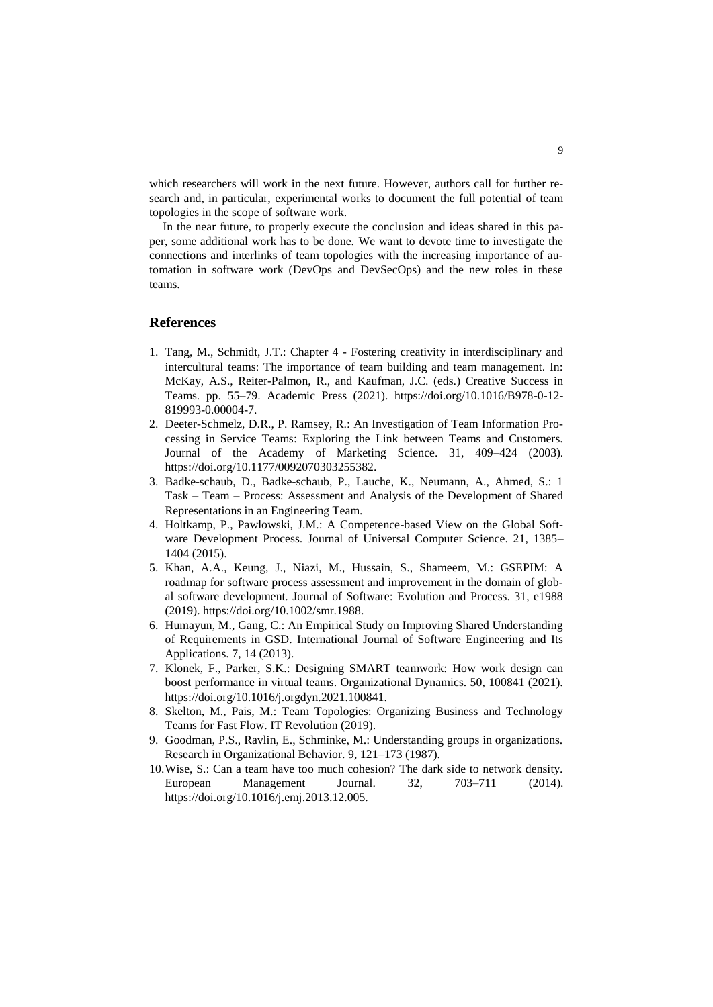which researchers will work in the next future. However, authors call for further research and, in particular, experimental works to document the full potential of team topologies in the scope of software work.

In the near future, to properly execute the conclusion and ideas shared in this paper, some additional work has to be done. We want to devote time to investigate the connections and interlinks of team topologies with the increasing importance of automation in software work (DevOps and DevSecOps) and the new roles in these teams.

# **References**

- 1. Tang, M., Schmidt, J.T.: Chapter 4 Fostering creativity in interdisciplinary and intercultural teams: The importance of team building and team management. In: McKay, A.S., Reiter-Palmon, R., and Kaufman, J.C. (eds.) Creative Success in Teams. pp. 55–79. Academic Press (2021). https://doi.org/10.1016/B978-0-12- 819993-0.00004-7.
- 2. Deeter-Schmelz, D.R., P. Ramsey, R.: An Investigation of Team Information Processing in Service Teams: Exploring the Link between Teams and Customers. Journal of the Academy of Marketing Science. 31, 409–424 (2003). https://doi.org/10.1177/0092070303255382.
- 3. Badke-schaub, D., Badke-schaub, P., Lauche, K., Neumann, A., Ahmed, S.: 1 Task – Team – Process: Assessment and Analysis of the Development of Shared Representations in an Engineering Team.
- 4. Holtkamp, P., Pawlowski, J.M.: A Competence-based View on the Global Software Development Process. Journal of Universal Computer Science. 21, 1385– 1404 (2015).
- 5. Khan, A.A., Keung, J., Niazi, M., Hussain, S., Shameem, M.: GSEPIM: A roadmap for software process assessment and improvement in the domain of global software development. Journal of Software: Evolution and Process. 31, e1988 (2019). https://doi.org/10.1002/smr.1988.
- 6. Humayun, M., Gang, C.: An Empirical Study on Improving Shared Understanding of Requirements in GSD. International Journal of Software Engineering and Its Applications. 7, 14 (2013).
- 7. Klonek, F., Parker, S.K.: Designing SMART teamwork: How work design can boost performance in virtual teams. Organizational Dynamics. 50, 100841 (2021). https://doi.org/10.1016/j.orgdyn.2021.100841.
- 8. Skelton, M., Pais, M.: Team Topologies: Organizing Business and Technology Teams for Fast Flow. IT Revolution (2019).
- 9. Goodman, P.S., Ravlin, E., Schminke, M.: Understanding groups in organizations. Research in Organizational Behavior. 9, 121–173 (1987).
- 10.Wise, S.: Can a team have too much cohesion? The dark side to network density. European Management Journal. 32, 703–711 (2014). https://doi.org/10.1016/j.emj.2013.12.005.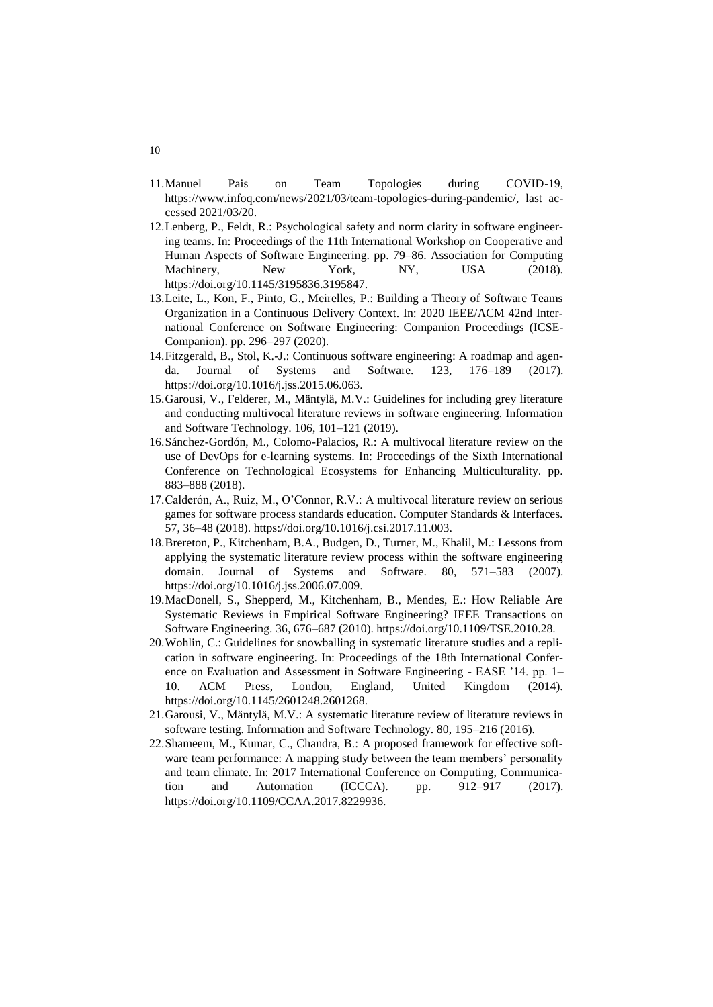- 11.Manuel Pais on Team Topologies during COVID-19, https://www.infoq.com/news/2021/03/team-topologies-during-pandemic/, last accessed 2021/03/20.
- 12.Lenberg, P., Feldt, R.: Psychological safety and norm clarity in software engineering teams. In: Proceedings of the 11th International Workshop on Cooperative and Human Aspects of Software Engineering. pp. 79–86. Association for Computing Machinery, New York, NY, USA (2018). https://doi.org/10.1145/3195836.3195847.
- 13.Leite, L., Kon, F., Pinto, G., Meirelles, P.: Building a Theory of Software Teams Organization in a Continuous Delivery Context. In: 2020 IEEE/ACM 42nd International Conference on Software Engineering: Companion Proceedings (ICSE-Companion). pp. 296–297 (2020).
- 14.Fitzgerald, B., Stol, K.-J.: Continuous software engineering: A roadmap and agenda. Journal of Systems and Software. 123, 176–189 (2017). https://doi.org/10.1016/j.jss.2015.06.063.
- 15.Garousi, V., Felderer, M., Mäntylä, M.V.: Guidelines for including grey literature and conducting multivocal literature reviews in software engineering. Information and Software Technology. 106, 101–121 (2019).
- 16.Sánchez-Gordón, M., Colomo-Palacios, R.: A multivocal literature review on the use of DevOps for e-learning systems. In: Proceedings of the Sixth International Conference on Technological Ecosystems for Enhancing Multiculturality. pp. 883–888 (2018).
- 17.Calderón, A., Ruiz, M., O'Connor, R.V.: A multivocal literature review on serious games for software process standards education. Computer Standards & Interfaces. 57, 36–48 (2018). https://doi.org/10.1016/j.csi.2017.11.003.
- 18.Brereton, P., Kitchenham, B.A., Budgen, D., Turner, M., Khalil, M.: Lessons from applying the systematic literature review process within the software engineering domain. Journal of Systems and Software. 80, 571–583 (2007). https://doi.org/10.1016/j.jss.2006.07.009.
- 19.MacDonell, S., Shepperd, M., Kitchenham, B., Mendes, E.: How Reliable Are Systematic Reviews in Empirical Software Engineering? IEEE Transactions on Software Engineering. 36, 676–687 (2010). https://doi.org/10.1109/TSE.2010.28.
- 20.Wohlin, C.: Guidelines for snowballing in systematic literature studies and a replication in software engineering. In: Proceedings of the 18th International Conference on Evaluation and Assessment in Software Engineering - EASE '14. pp. 1– 10. ACM Press, London, England, United Kingdom (2014). https://doi.org/10.1145/2601248.2601268.
- 21.Garousi, V., Mäntylä, M.V.: A systematic literature review of literature reviews in software testing. Information and Software Technology. 80, 195–216 (2016).
- 22.Shameem, M., Kumar, C., Chandra, B.: A proposed framework for effective software team performance: A mapping study between the team members' personality and team climate. In: 2017 International Conference on Computing, Communication and Automation (ICCCA). pp. 912–917 (2017). https://doi.org/10.1109/CCAA.2017.8229936.